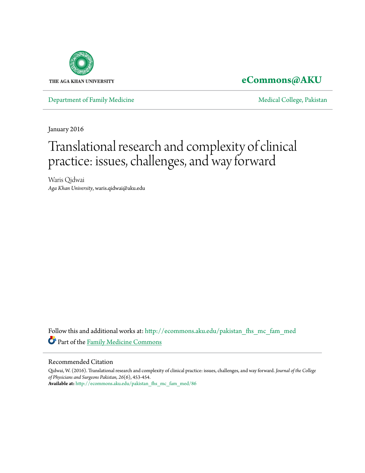

### **[eCommons@AKU](http://ecommons.aku.edu?utm_source=ecommons.aku.edu%2Fpakistan_fhs_mc_fam_med%2F86&utm_medium=PDF&utm_campaign=PDFCoverPages)**

[Department of Family Medicine](http://ecommons.aku.edu/pakistan_fhs_mc_fam_med?utm_source=ecommons.aku.edu%2Fpakistan_fhs_mc_fam_med%2F86&utm_medium=PDF&utm_campaign=PDFCoverPages) and [Medical College, Pakistan](http://ecommons.aku.edu/pakistan_fhs_mc?utm_source=ecommons.aku.edu%2Fpakistan_fhs_mc_fam_med%2F86&utm_medium=PDF&utm_campaign=PDFCoverPages)

January 2016

# Translational research and complexity of clinical practice: issues, challenges, and way forward

Waris Qidwai *Aga Khan University*, waris.qidwai@aku.edu

Follow this and additional works at: [http://ecommons.aku.edu/pakistan\\_fhs\\_mc\\_fam\\_med](http://ecommons.aku.edu/pakistan_fhs_mc_fam_med?utm_source=ecommons.aku.edu%2Fpakistan_fhs_mc_fam_med%2F86&utm_medium=PDF&utm_campaign=PDFCoverPages) Part of the [Family Medicine Commons](http://network.bepress.com/hgg/discipline/1354?utm_source=ecommons.aku.edu%2Fpakistan_fhs_mc_fam_med%2F86&utm_medium=PDF&utm_campaign=PDFCoverPages)

#### Recommended Citation

Qidwai, W. (2016). Translational research and complexity of clinical practice: issues, challenges, and way forward. *Journal of the College of Physicians and Surgeons Pakistan, 26*(6), 453-454. **Available at:** [http://ecommons.aku.edu/pakistan\\_fhs\\_mc\\_fam\\_med/86](http://ecommons.aku.edu/pakistan_fhs_mc_fam_med/86)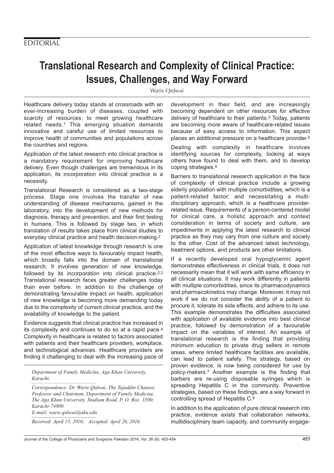## **Translational Research and Complexity of Clinical Practice: Issues, Challenges, and Way Forward**

Waris Qidwai

Healthcare delivery today stands at crossroads with an ever-increasing burden of diseases, coupled with scarcity of resources, to meet growing healthcare related needs.1 This emerging situation demands innovative and careful use of limited resources to improve health of communities and populations across the countries and regions.

Application of the latest research into clinical practice is a mandatory requirement for improving healthcare delivery. Even though challenges are tremendous in its application, its incorporation into clinical practice is a necessity.

Translational Research is considered as a two-stage process. Stage one involves the transfer of new understanding of disease mechanisms, gained in the laboratory, into the development of new methods for diagnosis, therapy and prevention, and their first testing in humans. This is followed by stage two, in which translation of results takes place from clinical studies to everyday clinical practice and health decision-making.2

Application of latest knowledge through research is one of the most effective ways to favourably impact health, which broadly falls into the domain of translational research. It involves generation of new knowledge, followed by its incorporation into clinical practice.<sup>2,3</sup> Translational research faces greater challenges today than ever before. In addition to the challenge of demonstrating favourable impact on health, application of new knowledge is becoming more demanding today due to the complexity of current clinical practice, and the availability of knowledge to the patient.

Evidence suggests that clinical practice has increased in its complexity and continues to do so at a rapid pace.4 Complexity in healthcare is related to factors associated with patients and their healthcare providers, workplace, and technological advances. Healthcare providers are finding it challenging to deal with the increasing pace of

*Department of Family Medicine, Aga Khan University, Karachi.*

*Correspondence: Dr. Waris Qidwai, The Tajuddin Chatoor, Professor and Chairman, Department of Family Medicine, The Aga Khan University, Stadium Road, P. O. Box. 3500, Karachi-74800. E-mail: waris.qidwai@aku.edu*

*Received: April 15, 2016; Accepted: April 26, 2016.*

development in their field, and are increasingly becoming dependent on other resources for effective delivery of healthcare to their patients.3 Today, patients are becoming more aware of healthcare-related issues because of easy access to information. This aspect places an additional pressure on a healthcare provider.5

Dealing with complexity in healthcare involves identifying sources for complexity, looking at ways others have found to deal with them, and to develop coping strategies.6

Barriers to translational research application in the face of complexity of clinical practice include a growing elderly population with multiple comorbidities, which is a patient-related factor; and necessitating a multidisciplinary approach, which is a healthcare providerrelated issue. Requirements of a person-centered model for clinical care, a holistic approach and context consideration in terms of society and culture, are impediments in applying the latest research to clinical practice as they may vary from one culture and society to the other. Cost of the advanced latest technology, treatment options, and products are other limitations.

If a recently developed oral hypoglycemic agent demonstrates effectiveness in clinical trials, it does not necessarily mean that it will work with same efficiency in all clinical situations. It may work differently in patients with multiple comorbidities, since its pharmacodynamics and pharmacokinetics may change. Moreover, it may not work if we do not consider the ability of a patient to procure it, tolerate its side effects, and adhere to its use. This example demonstrates the difficulties associated with application of available evidence into best clinical practice, followed by demonstration of a favourable impact on the variables of interest. An example of translational research is the finding that providing minimum education to private drug sellers in remote areas, where limited healthcare facilities are available, can lead to patient safety. This strategy, based on proven evidence, is now being considered for use by policy-makers.7 Another example is the finding that barbers are re-using disposable syringes which is spreading Hepatitis C in the community. Preventive strategies, based on these findings, are a way forward in controlling spread of Hepatitis C.8

In addition to the application of pure clinical research into practice, evidence exists that collaboration networks, multidisciplinary team capacity, and community engage